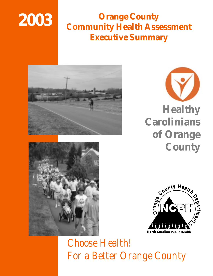# **2003**

# **Orange County Community Health Assessment Executive Summary**









# *Choose Health! For a Better Orange County*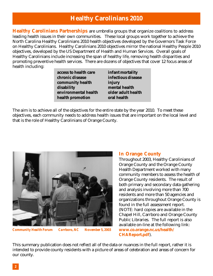### **Healthy Carolinians 2010**

**Healthy Carolinians Partnerships** are umbrella groups that organize coalitions to address leading health issues in their own communities. These local groups work together to achieve the North Carolina Healthy Carolinians 2010 health objectives developed by the Governors Task Force on Healthy Carolinians. Healthy Carolinians 2010 objectives mirror the national Healthy People 2010 objectives, developed by the US Department of Health and Human Services. Overall goals of Healthy Carolinians include increasing the span of healthy life, removing health disparities and promoting preventive health services. There are dozens of objectives that cover 12 focus areas of health including:

| access to health care | infant mortality   |
|-----------------------|--------------------|
| chronic disease       | infectious disease |
| community health      | injury             |
| disability            | mental health      |
| environmental health  | older adult health |
| health promotion      | oral health        |

The aim is to achieve all of the objectives for the entire state by the year 2010. To meet these objectives, each community needs to address health issues that are important on the local level and that is the role of Healthy Carolinians of Orange County.



*Community Health Forum Carrboro, NC November 5, 2003*

#### **In Orange County**

Throughout 2003, Healthy Carolinians of Orange County and the Orange County Health Department worked with many community members to assess the health of Orange County residents. The result of both primary and secondary data gathering and analysis involving more than 700 residents and more than 50 agencies and organizations throughout Orange County is found in the full assessment report. (NOTE: hard copies are available in the Chapel Hill, Carrboro and Orange County Public Libraries. The full report is also available on-line at the following link: **www.co.orange.nc.us/health/ CHAReport.pdf**).

This summary publication does not reflect all of the data or nuances in the full report, rather it is intended to provide county residents with a picture of areas of celebration and areas of concern for our county.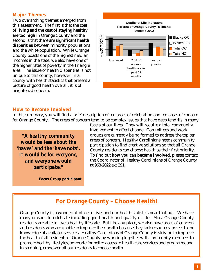#### **Major Themes**

Two overarching themes emerged from this assessment. The first is that the **cost of living and the cost of staying healthy are too high** in Orange County and the second is that there are **significant health disparities** between minority populations and the white population. While Orange County boasts one of the highest median incomes in the state, we also have one of the higher rates of poverty in the Triangle area. The issue of health disparities is not unique to this county, however, in a county with health statistics that present a picture of good health overall, it is of heightened concern.



#### **How to Become Involved**

In this summary, you will find a brief description of ten areas of celebration and ten areas of concern for Orange County. The areas of concern tend to be complex issues that have deep tendrils in many

*"A healthy community would be less about the 'haves' and the 'have nots'. It would be for everyone, and everyone would participate."*

*Focus Group participant*

facets of our lives. They will require a total community involvement to affect change. Committees and work groups are currently being formed to address the top ten areas of concern. Healthy Carolinians needs community participation to find creative solutions so that all Orange County residents can choose health as their first priority. To find out **how you can become involved**, please contact the Coordinator of Healthy Carolinians of Orange County at 968-2022 ext 291.

#### *For Orange County – Choose Health!*

Orange County is a wonderful place to live, and our health statistics bear that out. We have many reasons to celebrate including good health and quality of life. Most Orange County residents are able to live a healthy lifestyle. But like any place, we also have areas of concern and residents who are unable to improve their health because they lack resources, access to, or knowledge of available services. Healthy Carolinians of Orange County is striving to improve the health of all residents of Orange County by working together with community members to promote healthy lifestyles, advocate for better access to health care services and programs, and in so doing, empower all our residents to choose health.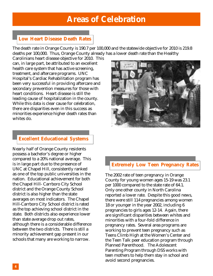### **Areas of Celebration**

#### **Low Heart Disease Death Rates**

The death rate in Orange County is 190.7 per 100,000 and the statewide objective for 2010 is 219.8 deaths per 100,000. Thus, Orange County already has a lower death rate than the Healthy

Carolinians heart disease objective for 2010. This can, in large part, be attributed to an excellent health care system that has active screening, treatment, and aftercare programs. UNC Hospital's Cardiac Rehabilitation program has been very successful in providing aftercare and secondary prevention measures for those with heart conditions. Heart disease is still the leading cause of hospitalization in the county. While this data is clear cause for celebration, there are disparities even in this success as minorities experience higher death rates than whites do.

#### **Excellent Educational Systems**

Nearly half of Orange County residents possess a bachelor's degree or higher compared to a 20% national average. This is in large part due to the presence of UNC at Chapel Hill, consistently ranked as one of the top public universities in the nation. Educational achievement for both the Chapel Hill- Carrboro City School district and the Orange County School district is also higher than the state averages on most indicators. The Chapel Hill-Carrboro City School district is rated as the top achieving school district in the state. Both districts also experience lower than state average drop out rates, although there is a considerable difference between the two districts. There is still a minority achievement gap present in our schools that many are working to narrow.



#### **Extremely Low Teen Pregnancy Rates**

The 2002 rate of teen pregnancy in Orange County for young women ages 15-19 was 23.1 per 1000 compared to the state rate of 64.1. Only one other county in North Carolina reported a lower rate. Despite this good news, there were still 114 pregnancies among women 18 or younger in the year 2002, including 6 pregnancies to girls ages 12-14. Again, there are significant disparities between whites and minorities with a four-fold difference in pregnancy rates. Several area programs are working to prevent teen pregnancy such as Teens Climb High at the Women's Center and the Teen Talk peer education program through Planned Parenthood. The Adolescent Parenting Program through DSS works with teen mothers to help them stay in school and avoid second pregnancies.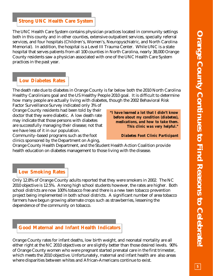#### **Strong UNC Health Care System**

The UNC Health Care System contains physician practices located in community settings both in this county and in other counties, extensive outpatient services, specialty referral services, and four hospitals (Children's, Women's, Neuropyschiatric, and North Carolina Memorial). In addition, the hospital is a Level III Trauma Center. While UNC is a state hospital that serves patients from all 100 counties in North Carolina, nearly 38,000 Orange County residents saw a physician associated with one of the UNC Health Care System practices in the past year.

#### **Low Diabetes Rates**

The death rate due to diabetes in Orange County is far below both the 2010 North Carolina Healthy Carolinians goal and the US Healthy People 2010 goal. It is difficult to determine how many people are actually living with diabetes, though the 2002 Behavioral Risk

Factor Surveillance Survey indicated only 3% of Orange County residents had been told by their doctor that they were diabetic. A low death rate may indicate that those persons with diabetes are successfully managing their disease; not that we have less of it in our population.

Community–based programs such as the foot clinics sponsored by the Department on Aging, *"I have learned a lot that I didn't know before about my condition (diabetes), medications, and how to take them. This clinic was very helpful."*

*Diabetes Foot Clinic Participant*

Orange County Health Department, and the Student Health Action Coalition provide health education on diabetes management to those living with the disease.

#### **Low Smoking Rates**

Only 12.8% of Orange County adults reported that they were smokers in 2002. The NC 2010 objective is 12.5%. Among high school students however, the rates are higher. Both school districts are now 100% tobacco free and there is a new teen tobacco prevention project being implemented in both school districts. A significant number of area tobacco farmers have begun growing alternate crops such as strawberries, lessening the dependence of the community on tobacco.



Orange County rates for infant deaths, low birth weight, and neonatal mortality are all either right at the NC 2010 objectives or are slightly better than those desired levels. 90% of Orange County women who were pregnant started prenatal care in the first trimester, which meets the 2010 objective. Unfortunately, maternal and infant health are also areas where disparities between whites and African-Americans continue to exist.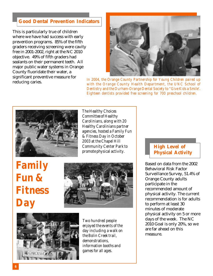#### **Good Dental Prevention Indicators**

This is particularly true of children where we have had success with early prevention programs. 85% of the fifth graders receiving screening were cavity free in 2001-2002, right at the NC 2010 objective. 49% of fifth graders had sealants on their permanent teeth. All major public water systems in Orange County fluoridate their water, a significant preventive measure for



reducing caries.<br>*In 2004, the Orange County Partnership for Young Children paired up*<br>reducing caries. *with the Orange County Health Department, the UNC School of Dentistry and the Durham-Orange Dental Society to "Give Kids a Smile'. Eighteen dentists provided free screening for 700 preschool children.*



*The Healthy Choices Committee of Healthy Carolinians, along with 20 Healthy Carolinians partner agencies, hosted a Family Fun & Fitness Day in October 2003 at the Chapel Hill Community Center Park to promote physical activity.*

*Family Fun & Fitness Day*





*Two hundred people enjoyed the events of the day including a walk on the Bolin Creek trail, demonstrations, information booths and games for all ages.*

#### **High Level of Physical Activity**

Based on data from the 2002 Behavioral Risk Factor Surveillance Survey, 51.4% of Orange County adults participate in the recommended amount of physical activity. The current recommendation is for adults to perform at least 30 minutes of moderate physical activity on 5 or more days of the week. The NC 2010 Goal is only 20%, so we are far ahead on this measure.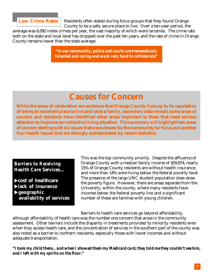

Residents often stated during focus groups that they found Orange County to be a safe, secure place to live. Over a ten-year period, the

average was 6,092 index crimes per year, the vast majority of which were larcenies. The crime rate both on the state and local level has dropped over the past ten years, and the rate of crime in Orange County remains lower than the state average.

> *"In our community, police and courts are tremendously talented and caring and work very hard to collaborate"*

## **Causes for Concern**

**While the areas of celebration are evidence that Orange County lives up to its reputation of being an excellent place to live and raise a family, secondary data reveals some areas of concern and residents have identified other areas important to them that need serious attention to improve our collective living situation. This summary will highlight ten areas of concern starting with six issues that were chosen by the community for focus and another four health issues that are strongly substantiated by recent statistics.**

*Barriers to Receiving Health Care Services...*

**Example 3 Feature** X**lack of insurance** X**geographic availability of services** This was the top community priority. Despite the affluence of Orange County with a median family income of \$59,874, nearly 15% of Orange County residents are without health insurance; and more than 14% were living below the federal poverty level. The presence of the large UNC student population does skew the poverty figure. However, there are areas separate from the University, within the county, where many residents have incomes below the federal poverty line and a significant number of these are families with young children.

Barriers to health care services go beyond affordability, although affordability of health care was the number one concern that arose in the community assessment. Other barriers include the disparity in treatments provided to minority residents even when they access health care, and the concentration of services in the southern part of the county was also noted as a barrier to northern residents, especially those with lower incomes and without adequate transportation.

*"I took my child there…and when I showed them my Medicaid card, they told me they couldn't see him, and I left with my spirits on the floor."*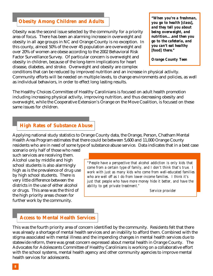#### **Obesity Among Children and Adults**

Obesity was the second issue selected by the community for a priority area of focus. There has been an alarming increase in overweight and obesity in all age groups in NC and Orange County is no exception. In this county, almost 50% of the over 45 population are overweight and over 20% of women are obese according to the 2002 Behavioral Risk Factor Surveillance Survey. Of particular concern is overweight and obesity in children, because of the long-term implications for heart disease, diabetes, and stroke. Overweight and obesity are complex

*"When you're a freshman, you go to health [class], and they tell you about being overweight, and nutrition….and then you go to the cafeteria, and you can't eat healthy [food] there."*

*Orange County Teen*

conditions that can be reduced by improved nutrition and an increase in physical activity. Community efforts will be needed on multiple levels, to change environments and policies, as well as individual behaviors, in order to effect long lasting results.

The Healthy Choices Committee of Healthy Carolinians is focused on adult health promotion including increasing physical activity, improving nutrition, and thus decreasing obesity and overweight, while the Cooperative Extension's Orange on the Move Coalition, is focused on these same issues for children.

#### **High Rates of Substance Abuse**

Applying national study statistics to Orange County data, the Orange, Person, Chatham Mental Health Area Program estimates that there could be between 5,600 and 11,000 Orange County residents who are in need of some type of substance abuse service. Data indicates that in a best case

scenario only half of those who need such services are receiving them. Alcohol use by middle and high school students is also alarmingly high as is the prevalence of drug use by high school students. There is very little difference between the districts in the use of either alcohol or drugs. This area was the third of the high priority areas chosen for further work by the community.

*"People have a perspective that alcohol addiction is only kids that come from a certain type of family, and I don't think that's true. I work with just as many kids who come from well-educated families who are well off as I do from lower-income families. I think it's just that people who have more money hide it better, and have the ability to get private treatment."*

*Service provider*

#### **Access to Mental Health Services**

This was the fourth priority area of concern identified by the community. Residents felt that there was already a shortage of mental health services and an inability to afford them. Combined with the stigma associated with mental illness and the impending changes in mental health services due to statewide reform, there was great concern expressed about mental health in Orange County. The Advocates for Adolescents Committee of Healthy Carolinians is working on a collaborative effort with the school systems, mental health agency and other community agencies to improve mental health services for adolescents.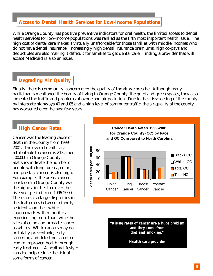#### **Access to Dental Health Services for Low-Income Populations**

While Orange County has positive preventive indicators for oral health, the limited access to dental health services for low-income populations was ranked as the fifth most important health issue. The high cost of dental care makes it virtually unaffordable for those families with middle incomes who do not have dental insurance. Increasingly high dental insurance premiums, high co-pays and deductibles are also making it difficult for families to get dental care. Finding a provider that will accept Medicaid is also an issue.

#### **Degrading Air Quality**

Finally, there is community concern over the quality of the air we breathe. Although many participants mentioned the beauty of living in Orange County, the quiet and green spaces, they also lamented the traffic and problems of ozone and air pollution. Due to the crisscrossing of the county by interstate highways 40 and 85 and a high level of commuter traffic, the air quality of the county has worsened over the past few years.

#### **High Cancer Rates**

Cancer was the leading cause of death in the County from 1999- 2001. The overall death rate attributable to cancer is 213.5 per 100,000 in Orange County. Statistics indicate the number of people with lung, breast, colon, and prostate cancer is also high. For example, the breast cancer incidence in Orange County was the highest in the state over the five-year period from 1996-2000. There are also large disparities in the death rates between minority residents and their white counterparts with minorities experiencing more than twice the rates of colon and prostate cancer as whites. While cancers may not be totally preventable, early screening and detection can often lead to improved health through early treatment. A healthy lifestyle can also help reduce the risk of some forms of cancer.



*"Rising rates of cancer are a huge problem and they come from diet and smoking."*

*Health care provider*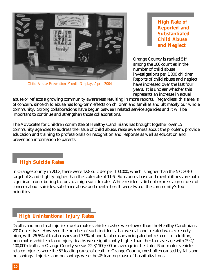

*Child Abuse Prevention Month Display, April 2004*

**High Rate of Reported and Substantiated Child Abuse and Neglect**

Orange County is ranked 51st among the 100 counties in the number of child abuse investigations per 1,000 children. Reports of child abuse and neglect have increased over the last four years. It is unclear whether this represents an increase in actual

abuse or reflects a growing community awareness resulting in more reports. Regardless, this area is of concern, since child abuse has long-term effects on children and families and ultimately our whole community. Strong collaborations have begun between related service agencies and it will be important to continue and strengthen those collaborations.

The Advocates for Children committee of Healthy Carolinians has brought together over 15 community agencies to address the issue of child abuse, raise awareness about the problem, provide education and training to professionals on recognition and response as well as education and prevention information to parents.

#### **High Suicide Rates**

In Orange County in 2002, there were 12.8 suicides per 100,000, which is higher than the NC 2010 target of 8 and slightly higher than the state rate of 11.6. Substance abuse and mental illness are both significant contributing factors to a high suicide rate. While residents did not express a great deal of concern about suicides, substance abuse and mental health were two of the community's top priorities.

#### **High Unintentional Injury Rates**

Deaths and non-fatal injuries due to motor vehicle crashes were lower than the Healthy Carolinians 2010 objectives. However, the number of such incidents that were alcohol-related was extremely high, with 26.5% of fatal crashes and 7.9% of non-fatal crashes being alcohol-related. In addition, non-motor vehicle related injury deaths were significantly higher than the state average with 29.4/ 100,000 deaths in Orange County versus 22.3/100,000 on average in the state. Non-motor vehicle related injuries were the 5th leading cause of death in Orange County, most often caused by falls and poisonings. Injuries and poisonings were the 4th leading cause of hospitalizations.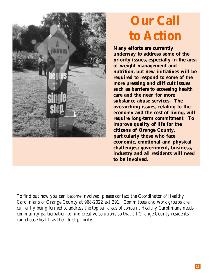

# **Our Call to Action**

**Many efforts are currently underway to address some of the priority issues, especially in the area of weight management and nutrition, but new initiatives will be required to respond to some of the more pressing and difficult issues such as barriers to accessing health care and the need for more substance abuse services. The overarching issues, relating to the economy and the cost of living, will require long-term commitment. To improve quality of life for the citizens of Orange County, particularly those who face economic, emotional and physical challenges; government, business, industry and all residents will need to be involved.**

*To find out how you can become involved, please contact the Coordinator of Healthy Carolinians of Orange County at 968-2022 ext 291. Committees and work groups are currently being formed to address the top ten areas of concern. Healthy Carolinians needs community participation to find creative solutions so that all Orange County residents can choose health as their first priority.*